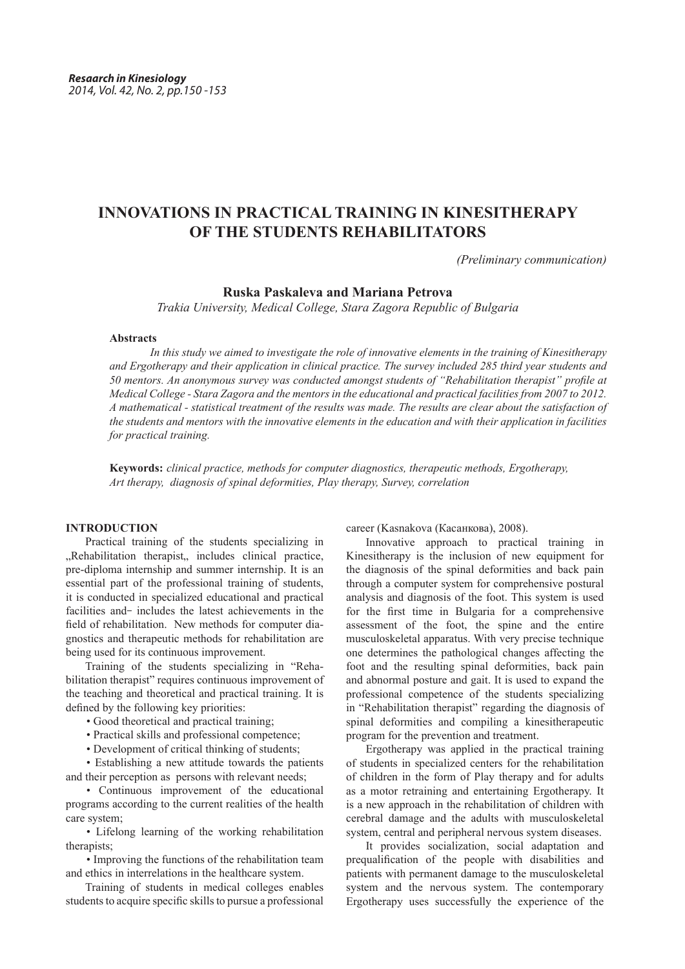# **INNOVATIONS IN PRACTICAL TRAINING IN KINESITHERAPY OF THE STUDENTS REHABILITATORS**

*(Preliminary communication)*

# **Ruska Paskaleva and Mariana Petrova**

*Trakia University, Medical College, Stara Zagora Republic of Bulgaria*

#### **Abstracts**

*In this study we aimed to investigate the role of innovative elements in the training of Kinesitherapy and Ergotherapy and their application in clinical practice. The survey included 285 third year students and 50 mentors. An anonymous survey was conducted amongst students of "Rehabilitation therapist" profile at Medical College - Stara Zagora and the mentors in the educational and practical facilities from 2007 to 2012. A mathematical - statistical treatment of the results was made. The results are clear about the satisfaction of the students and mentors with the innovative elements in the education and with their application in facilities for practical training.*

**Keywords:** *clinical practice, methods for computer diagnostics, therapeutic methods, Ergotherapy, Art therapy, diagnosis of spinal deformities, Play therapy, Survey, correlation*

## **INTRODUCTION**

Practical training of the students specializing in "Rehabilitation therapist, includes clinical practice, pre-diploma internship and summer internship. It is an essential part of the professional training of students, it is conducted in specialized educational and practical facilities and- includes the latest achievements in the field of rehabilitation. New methods for computer diagnostics and therapeutic methods for rehabilitation are being used for its continuous improvement.

Training of the students specializing in "Rehabilitation therapist" requires continuous improvement of the teaching and theoretical and practical training. It is defined by the following key priorities:

- Good theoretical and practical training;
- Practical skills and professional competence;
- Development of critical thinking of students;

• Establishing a new attitude towards the patients and their perception as persons with relevant needs;

• Continuous improvement of the educational programs according to the current realities of the health care system;

• Lifelong learning of the working rehabilitation therapists;

• Improving the functions of the rehabilitation team and ethics in interrelations in the healthcare system.

Training of students in medical colleges enables students to acquire specific skills to pursue a professional career (Kasnakova (Касанкова), 2008).

Innovative approach to practical training in Kinesitherapy is the inclusion of new equipment for the diagnosis of the spinal deformities and back pain through a computer system for comprehensive postural analysis and diagnosis of the foot. This system is used for the first time in Bulgaria for a comprehensive assessment of the foot, the spine and the entire musculoskeletal apparatus. With very precise technique one determines the pathological changes affecting the foot and the resulting spinal deformities, back pain and abnormal posture and gait. It is used to expand the professional competence of the students specializing in "Rehabilitation therapist" regarding the diagnosis of spinal deformities and compiling a kinesitherapeutic program for the prevention and treatment.

Ergotherapy was applied in the practical training of students in specialized centers for the rehabilitation of children in the form of Play therapy and for adults as a motor retraining and entertaining Ergotherapy. It is a new approach in the rehabilitation of children with cerebral damage and the adults with musculoskeletal system, central and peripheral nervous system diseases.

It provides socialization, social adaptation and prequalification of the people with disabilities and patients with permanent damage to the musculoskeletal system and the nervous system. The contemporary Ergotherapy uses successfully the experience of the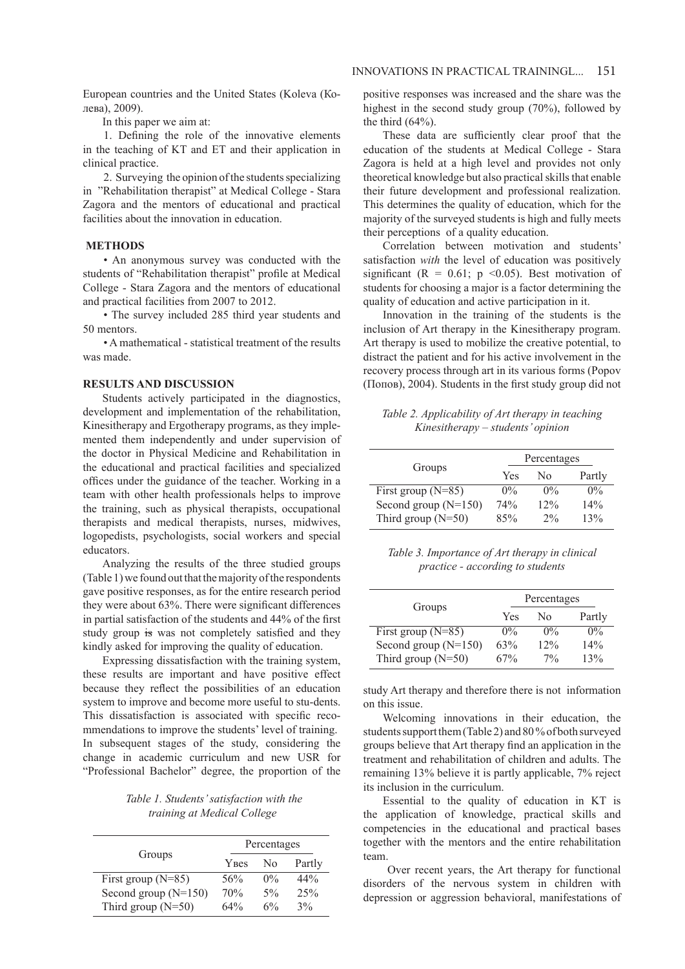European countries and the United States (Koleva (Колева), 2009).

In this paper we aim at:

1. Defining the role of the innovative elements in the teaching of KT and ET and their application in clinical practice.

2. Surveying the opinion of the students specializing in "Rehabilitation therapist" at Medical College - Stara Zagora and the mentors of educational and practical facilities about the innovation in education.

## **METHODS**

• An anonymous survey was conducted with the students of "Rehabilitation therapist" profile at Medical College - Stara Zagora and the mentors of educational and practical facilities from 2007 to 2012.

• The survey included 285 third year students and 50 mentors.

• A mathematical - statistical treatment of the results was made.

#### **RESULTS AND DISCUSSION**

Students actively participated in the diagnostics, development and implementation of the rehabilitation, Kinesitherapy and Ergotherapy programs, as they implemented them independently and under supervision of the doctor in Physical Medicine and Rehabilitation in the educational and practical facilities and specialized offices under the guidance of the teacher. Working in a team with other health professionals helps to improve the training, such as physical therapists, occupational therapists and medical therapists, nurses, midwives, logopedists, psychologists, social workers and special educators.

Analyzing the results of the three studied groups (Table 1) we found out that the majority of the respondents gave positive responses, as for the entire research period they were about 63%. There were significant differences in partial satisfaction of the students and 44% of the first study group is was not completely satisfied and they kindly asked for improving the quality of education.

Expressing dissatisfaction with the training system, these results are important and have positive effect because they reflect the possibilities of an education system to improve and become more useful to stu-dents. This dissatisfaction is associated with specific recommendations to improve the students' level of training. In subsequent stages of the study, considering the change in academic curriculum and new USR for "Professional Bachelor" degree, the proportion of the

*Table 1. Students' satisfaction with the training at Medical College*

|                        | Percentages  |                |        |
|------------------------|--------------|----------------|--------|
| Groups                 | <b>Y</b> Bes | N <sub>0</sub> | Partly |
| First group $(N=85)$   | 56%          | $0\%$          | 44%    |
| Second group $(N=150)$ | 70%          | $5\%$          | 25%    |
| Third group $(N=50)$   | 64%          | 6%             | 3%     |

positive responses was increased and the share was the highest in the second study group (70%), followed by the third  $(64%)$ .

These data are sufficiently clear proof that the education of the students at Medical College - Stara Zagora is held at a high level and provides not only theoretical knowledge but also practical skills that enable their future development and professional realization. This determines the quality of education, which for the majority of the surveyed students is high and fully meets their perceptions of a quality education.

Correlation between motivation and students' satisfaction *with* the level of education was positively significant ( $R = 0.61$ ;  $p \le 0.05$ ). Best motivation of students for choosing a major is a factor determining the quality of education and active participation in it.

Innovation in the training of the students is the inclusion of Art therapy in the Kinesitherapy program. Art therapy is used to mobilize the creative potential, to distract the patient and for his active involvement in the recovery process through art in its various forms (Popov (Попов), 2004). Students in the first study group did not

*Table 2. Applicability of Art therapy in teaching Kinesitherapy – students' opinion*

|                        | Percentages |       |        |
|------------------------|-------------|-------|--------|
| Groups                 | Yes         | Nο    | Partly |
| First group $(N=85)$   | $0\%$       | $0\%$ | $0\%$  |
| Second group $(N=150)$ | 74%         | 12%   | 14%    |
| Third group $(N=50)$   | 85%         | $2\%$ | 13%    |

*Table 3. Importance of Art therapy in clinical practice - according to students*

| Groups                 | Percentages |       |        |
|------------------------|-------------|-------|--------|
|                        | Yes         | No    | Partly |
| First group $(N=85)$   | $0\%$       | $0\%$ | $0\%$  |
| Second group $(N=150)$ | 63%         | 12%   | 14%    |
| Third group $(N=50)$   | 67%         | $7\%$ | 13%    |

study Art therapy and therefore there is not information on this issue.

Welcoming innovations in their education, the students support them (Table 2) and 80 % of both surveyed groups believe that Art therapy find an application in the treatment and rehabilitation of children and adults. The remaining 13% believe it is partly applicable, 7% reject its inclusion in the curriculum.

Essential to the quality of education in KT is the application of knowledge, practical skills and competencies in the educational and practical bases together with the mentors and the entire rehabilitation team.

 Over recent years, the Art therapy for functional disorders of the nervous system in children with depression or aggression behavioral, manifestations of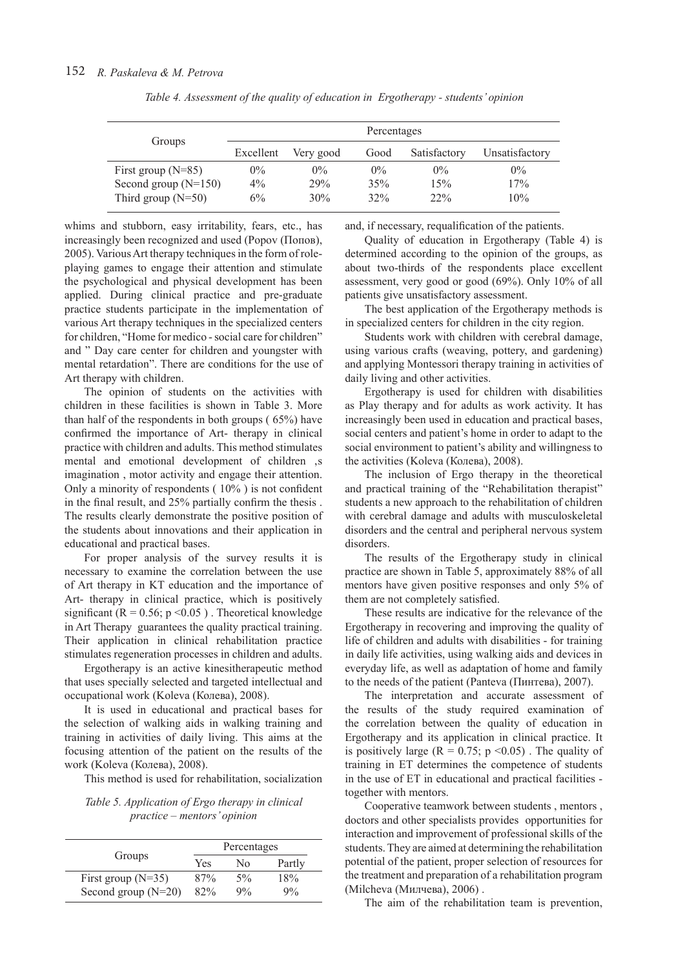| Groups                 | Percentages |           |       |              |                |
|------------------------|-------------|-----------|-------|--------------|----------------|
|                        | Excellent   | Very good | Good  | Satisfactory | Unsatisfactory |
| First group $(N=85)$   | $0\%$       | $0\%$     | $0\%$ | $0\%$        | $0\%$          |
| Second group $(N=150)$ | $4\%$       | 29%       | 35%   | 15%          | 17%            |
| Third group $(N=50)$   | $6\%$       | 30%       | 32%   | 22%          | 10%            |

*Table 4. Assessment of the quality of education in Ergotherapy - students' opinion*

whims and stubborn, easy irritability, fears, etc., has increasingly been recognized and used (Popov (Попов), 2005). Various Art therapy techniques in the form of roleplaying games to engage their attention and stimulate the psychological and physical development has been applied. During clinical practice and pre-graduate practice students participate in the implementation of various Art therapy techniques in the specialized centers for children, "Home for medico - social care for children" and " Day care center for children and youngster with mental retardation". There are conditions for the use of Art therapy with children.

The opinion of students on the activities with children in these facilities is shown in Table 3. More than half of the respondents in both groups ( 65%) have confirmed the importance of Art- therapy in clinical practice with children and adults. This method stimulates mental and emotional development of children s imagination , motor activity and engage their attention. Only a minority of respondents ( 10% ) is not confident in the final result, and 25% partially confirm the thesis . The results clearly demonstrate the positive position of the students about innovations and their application in educational and practical bases.

For proper analysis of the survey results it is necessary to examine the correlation between the use of Art therapy in KT education and the importance of Art- therapy in clinical practice, which is positively significant ( $R = 0.56$ ;  $p \le 0.05$ ). Theoretical knowledge in Art Therapy guarantees the quality practical training. Their application in clinical rehabilitation practice stimulates regeneration processes in children and adults.

Ergotherapy is an active kinesitherapeutic method that uses specially selected and targeted intellectual and occupational work (Koleva (Колева), 2008).

It is used in educational and practical bases for the selection of walking aids in walking training and training in activities of daily living. This aims at the focusing attention of the patient on the results of the work (Koleva (Колева), 2008).

This method is used for rehabilitation, socialization

*Table 5. Application of Ergo therapy in clinical practice – mentors' opinion*

|                       | Percentages |       |        |
|-----------------------|-------------|-------|--------|
| Groups                | Yes         | Nο    | Partly |
| First group $(N=35)$  | 87%         | $5\%$ | 18%    |
| Second group $(N=20)$ | 82%         | 9%    | 9%     |

and, if necessary, requalification of the patients.

Quality of education in Ergotherapy (Table 4) is determined according to the opinion of the groups, as about two-thirds of the respondents place excellent assessment, very good or good (69%). Only 10% of all patients give unsatisfactory assessment.

The best application of the Ergotherapy methods is in specialized centers for children in the city region.

Students work with children with cerebral damage, using various crafts (weaving, pottery, and gardening) and applying Montessori therapy training in activities of daily living and other activities.

Ergotherapy is used for children with disabilities as Play therapy and for adults as work activity. It has increasingly been used in education and practical bases, social centers and patient's home in order to adapt to the social environment to patient's ability and willingness to the activities (Koleva (Колева), 2008).

The inclusion of Ergo therapy in the theoretical and practical training of the "Rehabilitation therapist" students a new approach to the rehabilitation of children with cerebral damage and adults with musculoskeletal disorders and the central and peripheral nervous system disorders.

The results of the Ergotherapy study in clinical practice are shown in Table 5, approximately 88% of all mentors have given positive responses and only 5% of them are not completely satisfied.

These results are indicative for the relevance of the Ergotherapy in recovering and improving the quality of life of children and adults with disabilities - for training in daily life activities, using walking aids and devices in everyday life, as well as adaptation of home and family to the needs of the patient (Panteva (Пинтева), 2007).

The interpretation and accurate assessment of the results of the study required examination of the correlation between the quality of education in Ergotherapy and its application in clinical practice. It is positively large  $(R = 0.75; p \le 0.05)$ . The quality of training in ET determines the competence of students in the use of ET in educational and practical facilities together with mentors.

Cooperative teamwork between students , mentors , doctors and other specialists provides opportunities for interaction and improvement of professional skills of the students. They are aimed at determining the rehabilitation potential of the patient, proper selection of resources for the treatment and preparation of a rehabilitation program (Мilcheva (Милчева), 2006) .

The aim of the rehabilitation team is prevention,